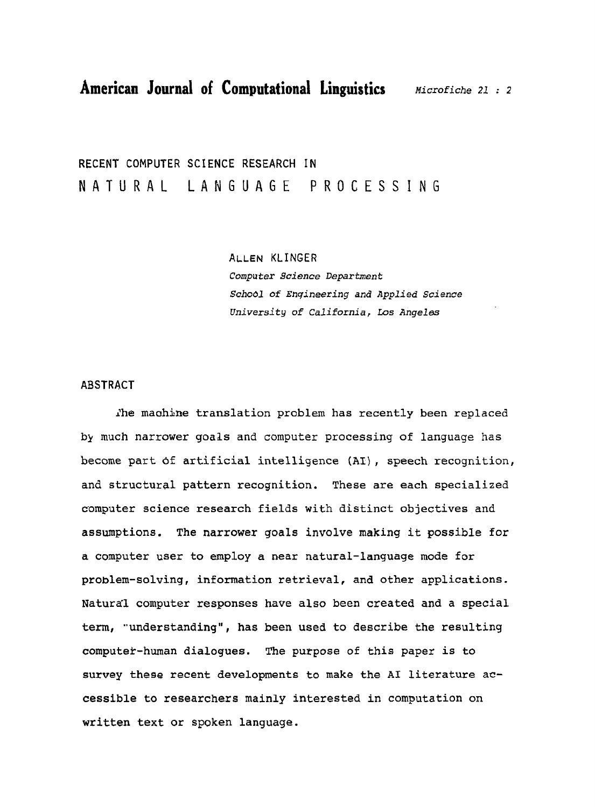**RECENT COMPUTER SCIENCE RESEARCH IN**  NATURAL LANGUAGE **PROCESSING** 

> *ALLEN* KLINGER *Computer* **Science** *Department School* **of** *Enqineering* **and** *Applied* Science *University* **of** *California,* **Los** *Angeles*

#### **ABSTRACT**

**Ihe maohine** translation problem has recently been replaced **by** much narrower goals and computer processing of language has become part **df** artificial intelligence **(AI),** speech recognition, and structural pattern recognition. These are each specialized computer science research fields with distinct objectives and assumptions. The narrower goals involve making it possible for a computer user to employ a near natural-language mode for problem-salving, information retrieval, and other applications. Naturdl computer responses have also been created and a special term, "understanding", has been used to describe the resulting computek-human dialogues. **Phe** purpose of this paper is to survey these recent developments to make the **A1** literature accessible to researchers mainly interested in computation on written text or spoken language.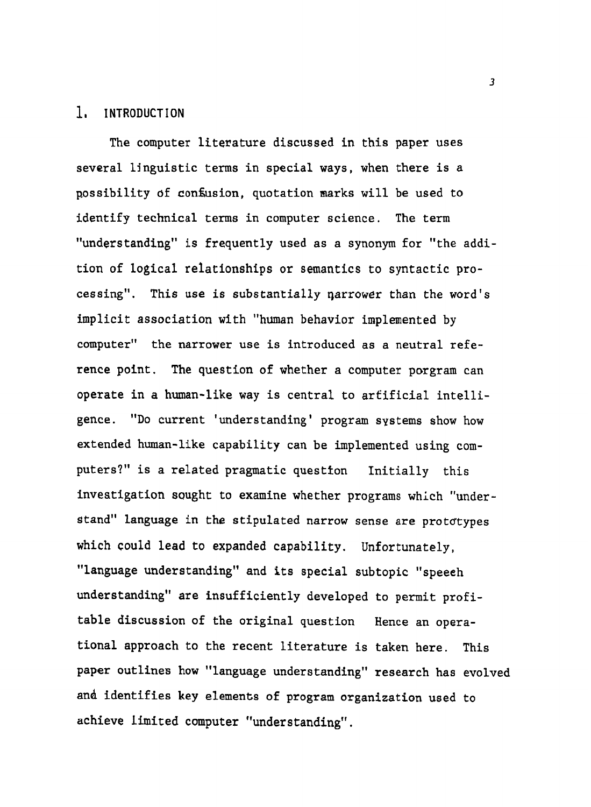# 1, **INTRODUCTION**

The computer literature discussed in this paper uses several linguistic terms in special ways, when there is a possibility **sf** congusion, quotation marks will be used to identify technical terms in computer science. The term "understanding" is frequently used as a synonym for "the addition of logical relationships or semantics to syntactic processing". This use is substantially qarrower than the word's implicit association with "human behavior implemented by computer'' the narrower use is introduced as a neutral reference point, The question of whether a computer porgram can operate in a human-like way is central to artificial intelligence. "Do current 'understanding' program systems show how extended human-like capability can be implemented using computers?" is a related pragmatic questton Initially this investigation sought to examine whether programs which "understand" language in the stipulated narrow sense are prototypes which could lead to expanded capability. Unfortunately, "language understanding" and its special subtopic "speeeh understanding'' are insufficiently developed to permit profitable discussion of the original question Hence an operational approach to the recent literature is taken here. This paper outlines how "language understanding" research has evolved and identifies key elements of program organization used to achieve limited computer "understanding".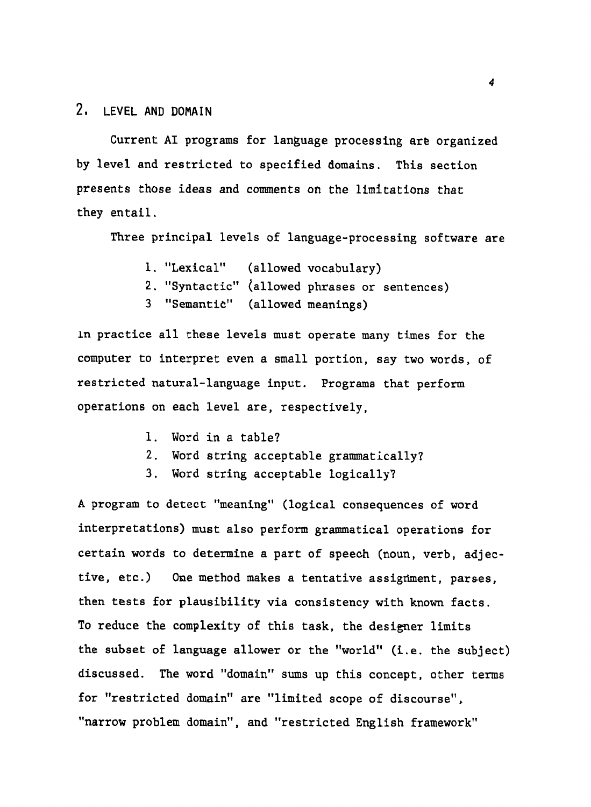# 2, **LEVEL AND DOMAIN**

Current AI programs for language processing are organized by level and restricted to specified domains. This section presents those ideas and comments **on** the limitations that they entail.

Three principal levels of language-processing software are

- 1. "Lexical" (allowed vocabulary)
- 2. "Syntactic" (allowed phrases or sentences)
- 3 "Semantic" (allowed meanings)

ln practice all these levels must operate many times for the computer to interpret even a small portion, **say** two words, of restricted natural-language input. Programs that perform operations on each level are, respectively,

- 1. Word in a table?
- 2. Word string acceptable grammatically?
- 3. Word string acceptable logically?

**A** program to detect "meaning" (logical consequences of word interpretations) must also perform grammatical operations for certain words to determine a part of speech (noun, verb, adjective, etc.) One method makes a tentative assignment, parses. then tests for plausibility via consistency with known facts. To reduce the complexity of this task, the designer limits the subset of language allower or the "world" (i.e. the subject) discussed. The word "domain" sums up this concept, other terms for "restricted domain" are "limited scope of discourse", "narrow problem domain", and "restricted English framework"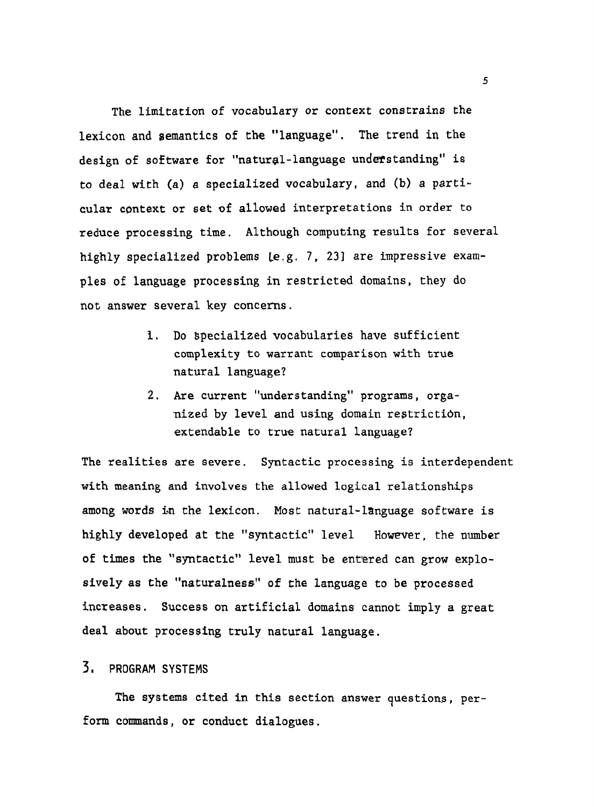The limitation of vocabulary or context constrains the lexicon and semantics of the "language". The trend in the design of software for "natural-language understanding" is to deal with (a) a specialized vocabulary, and (b) a particular context or **set** of allowed interpretations in order to reduce processing time. Although computing results for several highly specialized problems **Le,g.** 7, **231** are impressive examples of language processing in restricted domains, they do not answer several key concerns.

- **1.** Do specialized vocabularies have sufficient complexity to warrant comparison with true natural language?
- **2.** Are current "understanding" programs, organized by level and using domain restriction, extendable to true natural language?

The realities are severe. Syntactic processing is interdependent with meaning and involves the allowed logical relationships among words in the lexicon. Most natural-language software is highly developed at the "syntactic" level However, the number of times the "syntactic" level must be ent'ered can grow explosively as the "naturalness" of the language to be processed increases. Success on artificial domains cannot imply a great deal about processing truly natural language.

# **3, PROGRAM SYSTEMS**

The systems cited in this section answer questions, perform commands, or conduct dialogues.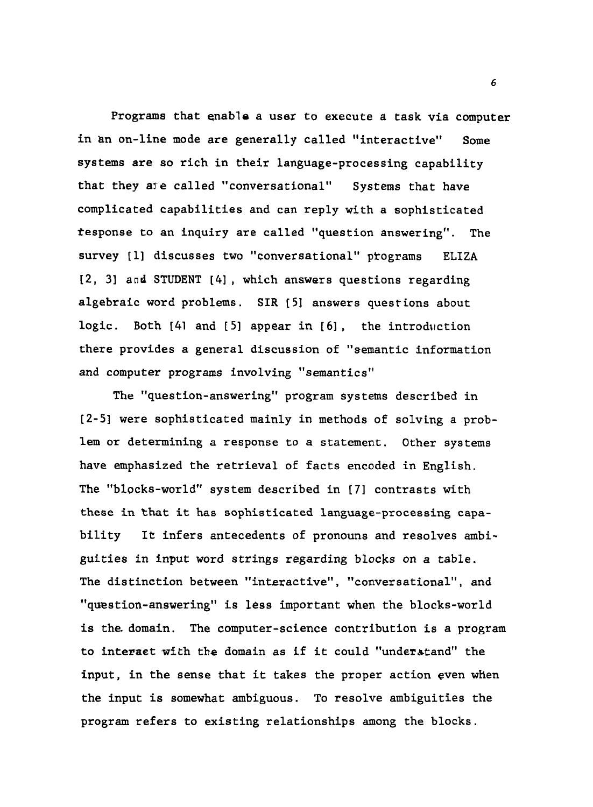Programs that enable a user to execute a task via computer in an on-line mode are generally called "interactive" Some systems are so rich in their language-processing capability that they are called "conversational" Systems that have complicated capabilities and can reply with a sophisticated tesponse to an inquiry are called "question answering". The survey [1] discusses two "conversational" programs ELIZA **[2, 31 and STUDENT [41,** which answers questions regarding algebraic word problems. **SIR [51** answers questions about logic. Both [41 and [5] appear in [6], the introduction there provides a general discussion of "semantic information and computer programs involving "semantics"

**The** "question-answering" program systems described in **[2-51** were sophisticated mainly in methods of solving a problem or determining a response to a statement. Other systems have emphasized the retrieval of facts encoded in English. The "blocks-world" system described in [71 contrasts with these in that it has sophisticated language-processing capability It infers antecedents of pronouns and resolves ambiguities in input word strings regarding blocks on a table. The distinction between "interactive", "conversational", and "question-answering" is less important when the blocks-world is the. domain. The computer-science contribution is a program to interact with the domain as if it could "understand" the input, in the sense that it takes the proper action even when the input is somewhat ambiguous. To resolve ambiguities the program refers to existing relationships among the blocks.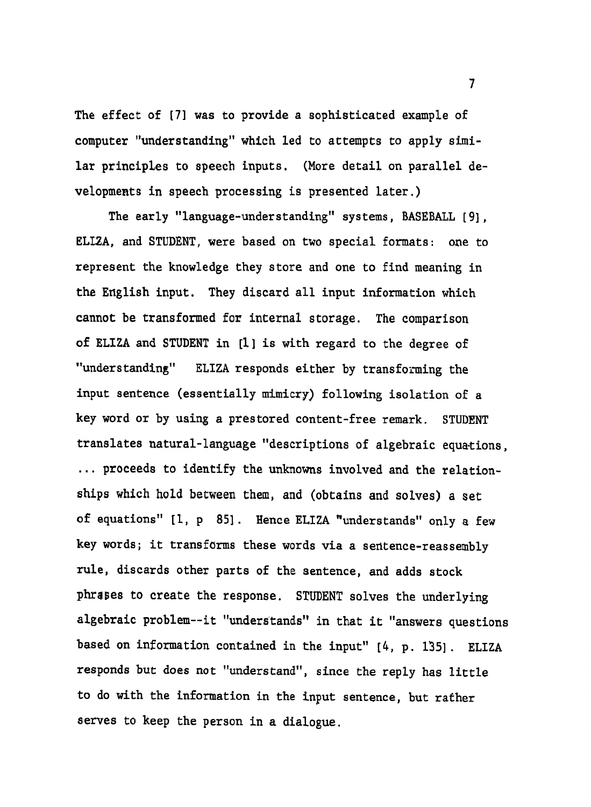The effect of **[71** was to provide a sophisticated example of computer "understanding" which led to attempts to apply similar principLes to speech inputs. (More detail on parallel developments in speech processing is presented later.)

The early "language-understanding" systems, BASEBALL **[9], ELLZA,** and STUDENT, were based on two special formats: one to represent the knowledge they store and one to find meaning in the English input. They discard all input information which cannot be transformed for internal storage. The comparison of ELIZA and STUDENT in [I] is with regard to the degree of "understanding" ELIZA responds either by transforming the input sentence (essentially mimicry) following isolation of a key word or by using a prestored content-free remark. **STUDENT**  translates natural-language "descriptions of algebraic equations, ... proceeds to identify the unknowns involved and the relationships which hold between them, and (obtains and solves) a set of equations" [I, p **851.** Hence ELIZA munderstands" only a few key words; it transforms these words via a sentence-reassembly rule, discards other parts of the sentence, and adds stock phrases to create the response. STUDENT solves the underlying algebraic problem--it "understands" in that it "answers questions based on information contained in the input" [4, p. 135]. ELIZA responds but does not "understand", since the reply has little to do with the information in the input sentence, but rather serves to keep the person in a dialogue.

 $\overline{7}$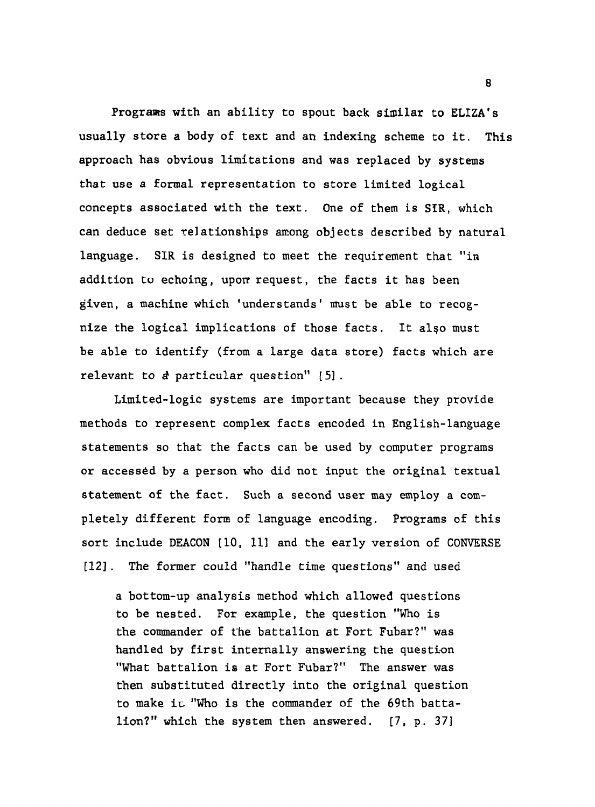Programs with an ability to spout back similar to ELIZA's usually store a body of text and an indexing scheme to it. This approach has obvious limitations and was replaced by systems that use a formal representation to store limited logical concepts associated with the text. One of them is SIR, which can deduce set relationships anong objects described by natural language. SIR is designed to meet the requirement that "in addition tu echoing, upon request, the facts it has been given, a machine which 'understands' must be able to recognize the logical implications of those facts. It also must be able to identify (from a large data store) facts which are relevant to **8** particular question'' [51 .

Limited-logic systems are important because they provide methods to represent complex facts encoded in English-language statements so that the facts can be used by computer programs or accessed by a person who did not input the original textual statement of the fact. Such a second user may employ a completely different form of language encoding. Programs of this sort include DEACON [10, 11] and the early version of CONVERSE **[121.** The former could "handle time questions" and used

a bottom-up analysis method which allowed questions to be nested. For example, the question "Who is the commander of the battalion at Fort Fubar?" was handled by first internally answering the question "What battalion is at Fort Fubar?" The answer was then substituted directly into the original question to make ic "Who is the commander of the 69th battalion?" which the system then answered. [7, p. 371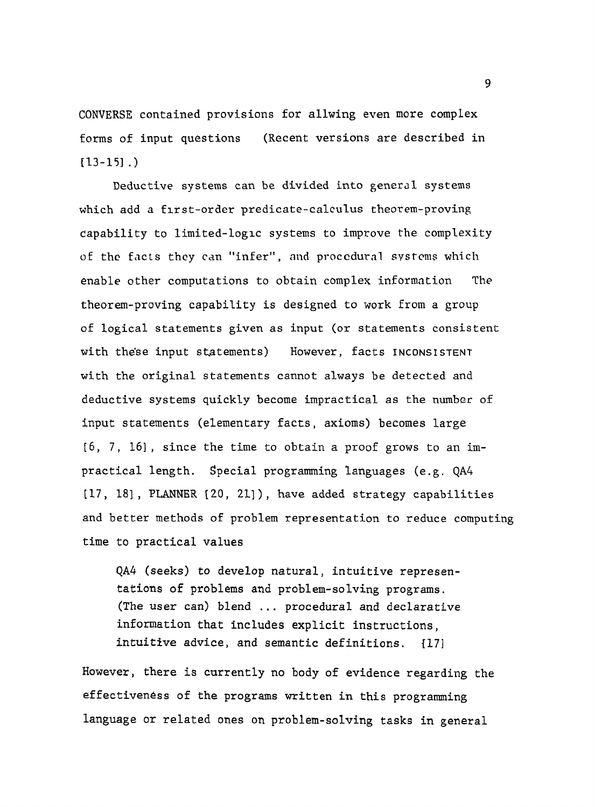CONVERSE contained provisions for allwing even more complex forms of input questions (Recent versions are described in  $[13-15]$ .

Deductive systems can be divided into general systems which add a flrst-order predicate-calculus theorem-proving capability to limited-loglc systems to improve the complexity of the facts they can "infer", and procedural systems which enable other computations to obtain complex information The theorem-proving capability is designed to work Erom a group of logical statements given as input (or statements consistent with these input statements) However, facts INCONSISTENT with the original statements cannot always be detected and deductive systems quickly become impractical as the **number** of input statements (elementary facts, axioms) becomes large  $[6, 7, 16]$ , since the time to obtain a proof grows to an impractical length. Special programming languages (e.g. QA4 [17, 181 , PLANNER [20, 211 ) , have added strategy capabilities and better methods of problem representation to reduce computing time to practical values

QA4 (seeks) to develop natural, intuitive representations of problems and problem-solving programs. (The user can) blend ... procedural and declarative information that includes explicit instructions, intuitive advice, and semantic definitions.  $[17]$ 

However, there is currently no body of evidence regarding the effectiveness of the programs written in this programming language or related ones on problem-solving tasks in general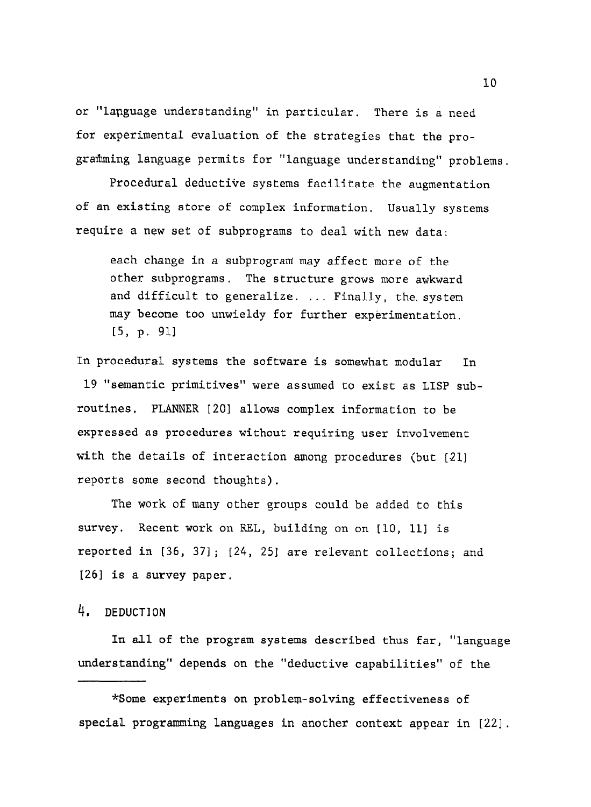or "language understanding" in particular. There is a need for experimental evaluation of the strategies that the programming language permits for "language understanding" problems.

Procedural deductive systems facilitate the augmentation of an existing store of complex information. Usually systems require a new set of subprograms to deal with new data:

each change in a subprogram may affect more of the other subprograms. The structure grows more awkward and difficult to generalize. ... Finally, the. system may become too unwieldy for further experimentation. **15,** p. 911

In procedural systems the software is somewhat modular In 19 "semantic primitives" were assumed to exist as LISP subroutines. PLANNER 1201 allows complex information to be expressed as procedures without requiring user involvement with the details of interaction anong procedures (but [21] reports some second thoughts).

The work of many other groups could be added to this survey. Recent work on REL, building on on [10, 11] is reported in **[36,** 371; [24, 251 are relevant collections; and **[26]** is a survey paper.

# 4, **DEDUCTION**

In all of the program systems described thus far, "language understanding" depends on the "deductive capabilities" of the

\*Some experiments on problem-solving effectiveness of special programing languages in another context appear in [22].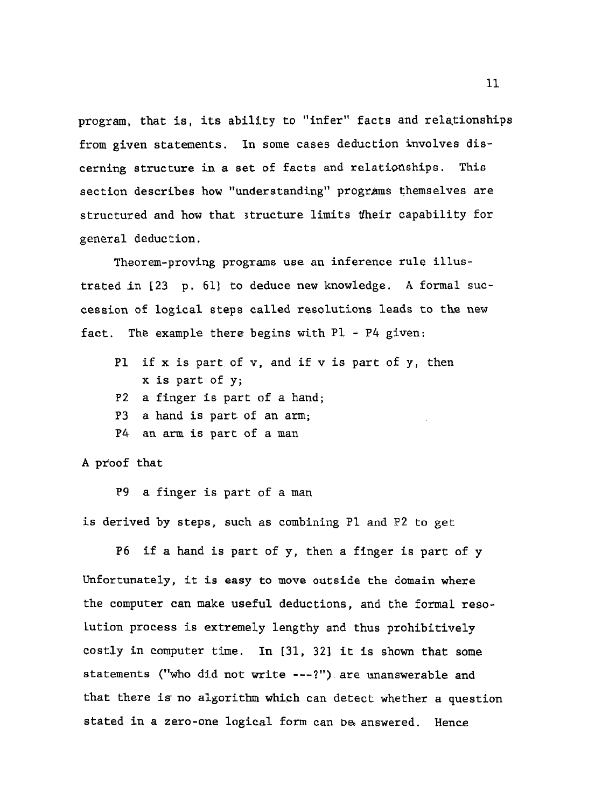program, that is, its ability to "infer" facts and relationships from given statements. In some cases deduction involves discerning structure in a set of facts and relationships. This section describes how "understanding" programs themselves are structured and how that structure limits tfheir capability for general deduction.

Theorem-proving **programs use an** inference rule illustrated in **[23** p. 611 to deduce new knowledge. **A** formal succession of logical steps called resolutions leads to the new fact. **The** example there begins with **P1** - P4 given:

- **P1** if x is part of **v,** and if v is part of y, then x is part of y; **P2** a finger is part of a hand;
- 
- P3 a hand is part of an arm;
- P4 an **arm** is part of a **man**

#### A pr'oof that

**P9** a finger is part of a man

is derived by steps, such as combining **P1** and P2 **to** get

**P6 if a hand** is part of y, then a finger is part of y Unfortunately, it is **easy** to move outside the domain where the computer can make useful deductions, and the formal resolution process is extremely lengthy and thus prohibitively costly in computer time. In **[31,** 321 it is shown that some statements ("who did not write ---?") are unanswerable and that there is no algorithm **which** can detect whether a question stated in a zero-one logical form can be answered. Hence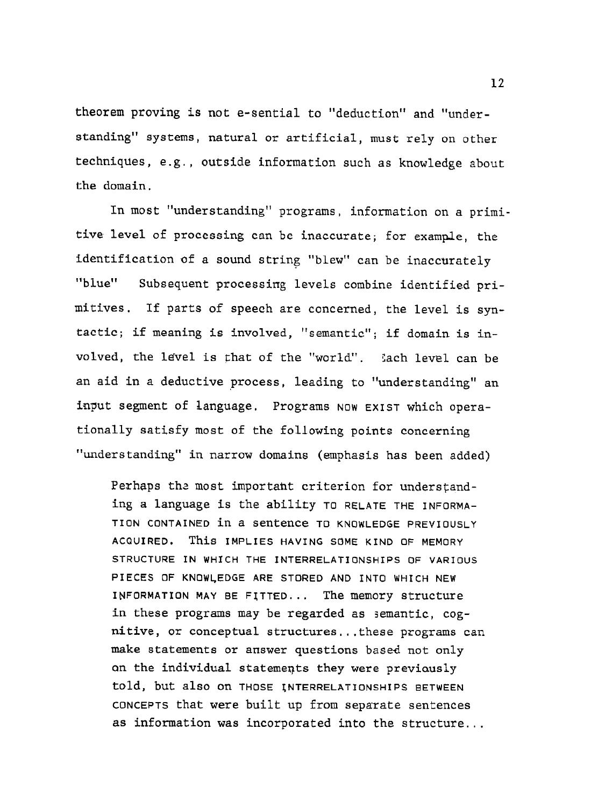theorem proving is not e-sential to "deduction" and "understanding" systems, natural or artificial, must rely on other techniques, **e.g.,** outside information such as knowledge about Lhe domain.

In most "understanding" programs, information on a primi tive level of processing can be inaccurate; for example, the identification of a sound string "blew" can be inaccurately "blue" Subsequent processing levels combine identified primitives. If parts of speech are concerned, the level is syntactic; if meaning is involved, "semantic"; if domain is involved, the lave1 is that of the "world". Sach level can be an aid in a deductive process, leading to "understanding" an input segment of language. Programs **NOW EXIST** which operationally satisfy most of the following points concerning "understanding" in narrow domains (emphasis has been **added)** 

Perhaps the most important criterion for understanding a language is the ability **TO RELATE THE INFORMA-TION CONTAINED** in a sentence **TO KNOWLEDGE PREVIOUSLY ACQUIRED.** This **IMPLIES HAVING SOME KIND OF MEMORY STRUCTURE IN WHICH THE INTERRELATIONSHIPS OF VARIOUS PIECES OF KNOWLEDGE ARE STORED AND INTO WHICH NEW INFORMATION MAY BE FJTTED** ... The memory structure in these programs may be regarded as semantic, cognitive, or conceptual structures.,.these programs can make statements or answer questions based not only an the individual statemegts they were previausly **told,** but also **On THOSE INTERRELATIONSHIPS BETWEEN CONCEPTS** that were built up from separate sentences as information was incorporated into the structure...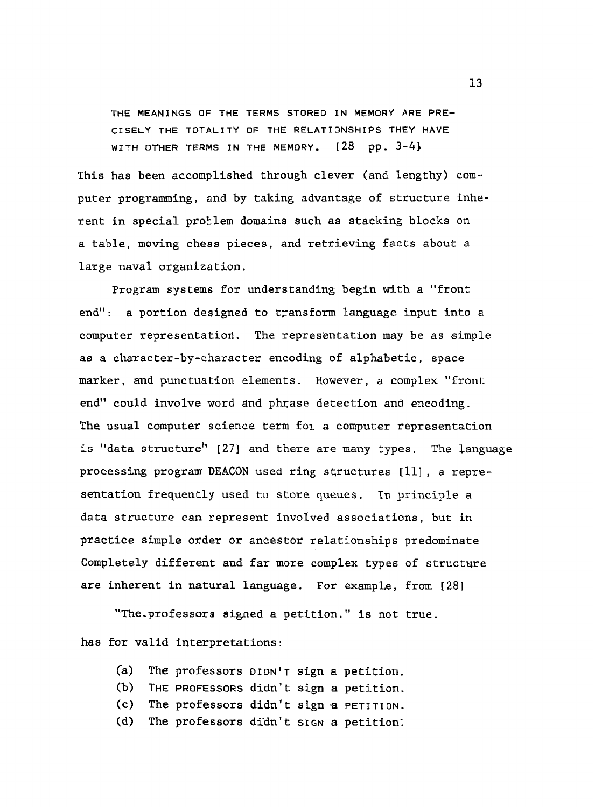**THE MEANINGS OF THE TERMS STORED IN MEMORY ARE PRE-CISELY THE TOTALITY OF THE RELATIONSHIPS THEY HAVE WITH OTHER TERMS IN THE MEMORY.** [28 **pp.** *3-4)* 

This has been accomplished through clever (and lengthy) computer programming, and by taking advantage of structure inherent in special problem domains such as stacking blocks on a table, moving chess pieces, and retrieving facts about a large naval organization.

Program systems for understanding begin with a "front end": a portion designed to transform language input into a computer representation. The representation may be as simple as a character-by-character encoding of alphabetic, space marker, and punctuation elements. However, a complex "front end" could involve word and phrase detection and encoding. The usual computer science term **fol** a computer representation is "data structure" [27] and there are many types. The language processing program DEACON used ring structures  $[11]$ , a representation frequently used to store queues. In principle a data structure can represent involved associations, but in practice simple order or ancestor relationships predominate Completely different and far more complex types of structure are inherent in natural language. For example, from [28]

"The-professors signed a petition." is not true.

has for valid interpretations:

- **(a)** The professors **DIDN'T** sign a petition.
- **(b) THE PROFESSORS** didn't sign **a** petition.
- **(c)** The professors didn't sign a **PETITION.**
- **(d)** The professors di'dn't SIGN a petition: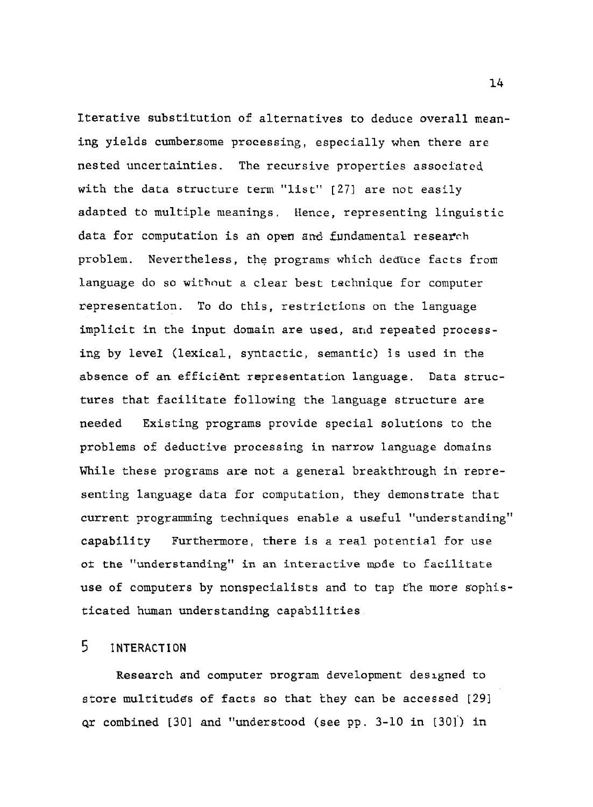Iterative substitution of alternatives to deduce overall meaning yields cumbersome processing, especially when there are nested uncertainties. The recursive properties associated with the data structure term "list" [27] are not easily adapted to multiple meanings. Hence, representing linguistic data for computation is an open and fundamental research problem. Nevertheless, the programs which deduce facts from language do so without a clear best technique for computer representation. To do this, restrictions on the language implicit in the input domain are used, and repeated processing by level (lexical, syntactic, semantic) is used in the absence of an efficient representation language. Data structures that facilitate following the language structure are needed Existing programs provide special solutions to the problems of deductive processing in narrow language domains While these programs are not a general breakthrough in representing language data for computation, they demonstrate that current programming techniques enable a useful "understanding" capability Furthermore, **tbere** is a **reql** potential for use **ot** the "understanding" in an interactive **node** to facilitate use of computers by nonspecialists and to tap fhe more sophisticated human understanding capabilities

# $5$  **INTERACTION**

Research and computer program development desrgned to store multitudes of facts so that they can be accessed [29] **qr** combined [30] and "understood (see pp. 3-10 in [30]) in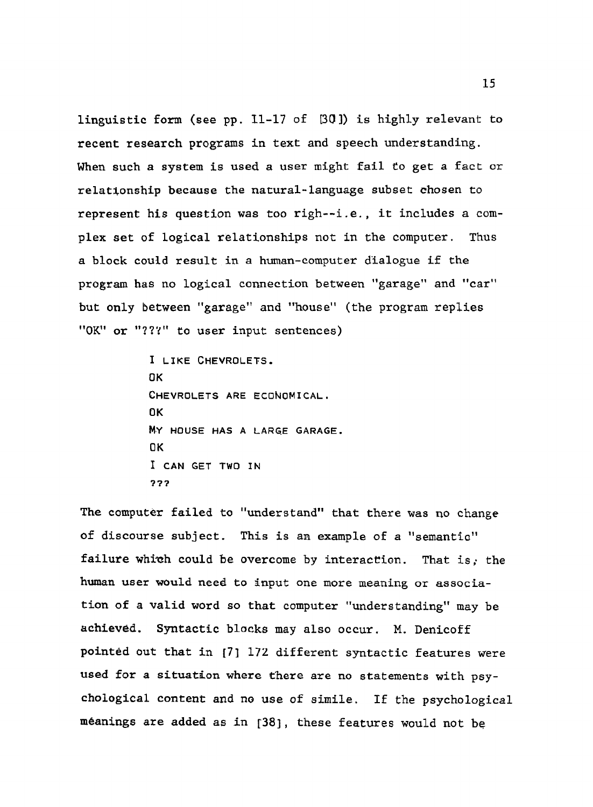linguistic form **(see** pp. 11-17 **of** [30]) is highly relevant to recent research programs in text and speech understanding. When such a system is used a user might **fail** to get a fact or relataonship because **the** natural-language subset chosen to represent his question was too righ--i.e., it includes a complex set of logical relationships not in the computer. Thos a block could result in a human-computer dialogue if the program has no logical connection **between** "garage" and **"car"**  but only between "garage" and "house" (the program replies "OK" or "???" to user input sentences)

> **I LIKE CHEVROLETS. OK**  CHEVROLETS ARE ECONOMICAL. **OK M.Y HOUSE HAS A LARGE GARAGE. OK**  I **CAN** GET **TWO IN**  ???

The computer failed to "understand" that there **was** no change of discourse subject. This is an example of a "semantfo" failure which could be overcome by interaction. That is; the human user would need to input one more meaning or association of a valid word so that **computer** "understanding" may be achieved. Syntactic blocks may also occur. M. Denicoff pointed out that in [7] 172 different syntactic features were used **fox** a situation where there are no statements with psy**chological** content and **no** use of simile. If the psychological meanings are **added** as in **1381,** these features would not be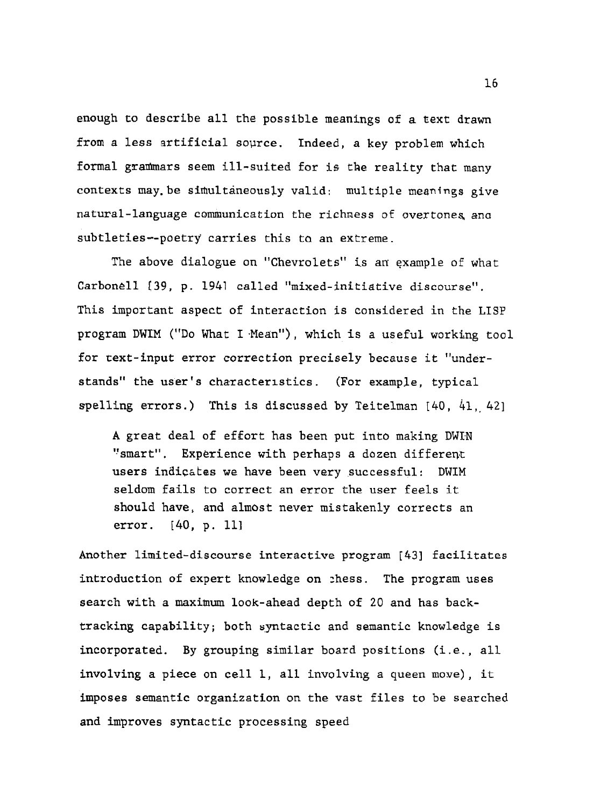enough to describe all the possible meanings of a text drawn from a less artificial source. Indeed, a key problem which formal granhars seem ill-suited for is **the** reality that many contexts may-be sifiultaneousLy valid: multiple meanings give natural-language communication the richness of ovextones, ana subtleties--poetry carries this to an extreme.

The above dialogue on "Chevrolets" is an example of what Carbonell **[39,** p. 1941 called "mixed-initiative discourse". This important aspect of interaction is considered in the LISP program DWIM ("Do What I Mean"), which is a useful working tool for text-input error correction precisely because it "understands" the user's characteristics. (For example, typical spelling errors.) This is discussed by Teitelman  $[40, 41, 42]$ 

A great deal of effort has been put into making DWIN "smart". Experience with perhaps a dozen different users indicates we have been very successful: DWIM seldom fails to correct an error the user feels it should have, and almost never mistakenly corrects an error. [40, p. 11]

Another limited-discourse interactive program *1431* facilitates introduction of expert knowledge on 7hess. The program uses search with a maximum look-ahead depth of 20 and has backtracking capability; both syntactic and semantic knowledge is incorporated. By grouping similar board positions (i.e., all involving a piece on cell 1, all involving a queen moue), it imposes semantic organization on the vast files to be searched and improves syntactic processing speed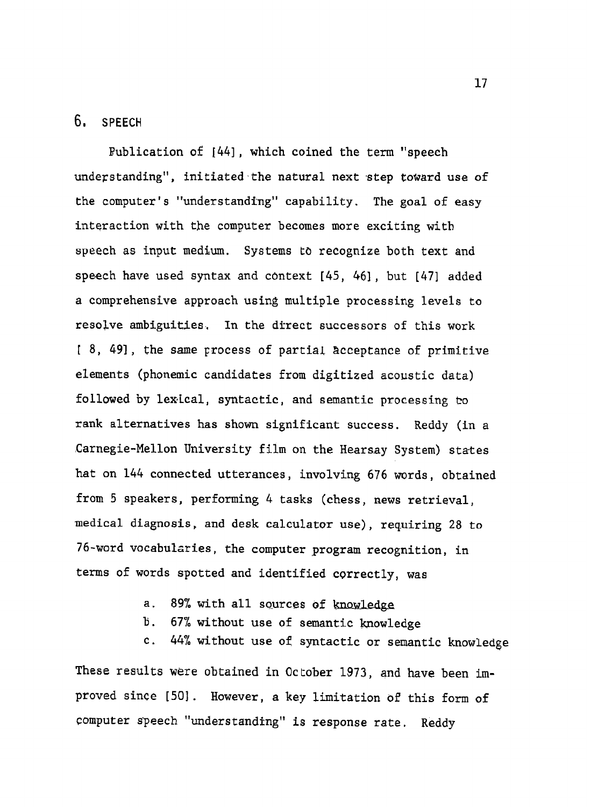#### 6. **SPEECH**

Bublication of *1443,* which coined the term "speech understanding", initiated the natural next step toward use of the computer's "understanding" capability. The goal of easy interaction with the computer becomes more exciting with speech as input medium. Systems **to** recognize both text and speech have used syntax and context [45, 461, but [471 added a comprehensive approach using multiple processing levels to resolve ambiguities. In the direct successors of this work [ 8, *491,* the same Frocess of parriaL acceptance of primitive elements (phonemic candidates from digitized acoustic data) followed by lexical, syntactic, and semantic processing ko rank alternatives has shown significant success. Reddy (in a Carnegie-Mellon University film on the Hearsay System) states hat on 144 connected utterances, involving 676 words, obtained from 5 speakers, performing 4 tasks (chess, news retrieval, medical diagnosis, and desk calculator use), requiring 28 to 76-word vocabularies, the computer program recognition, in terms of words spotted and identified correctly, was

- a. 89% with all sources of knowledge
- b. 67% without use of semantic knowledge
- **c.** 44% without use of sptactic or semantic knowledge

These results were obtained in October 1973, and have been improved since [501. However, a key limitation of this form of computer speech "understanding" is response rate. Reddy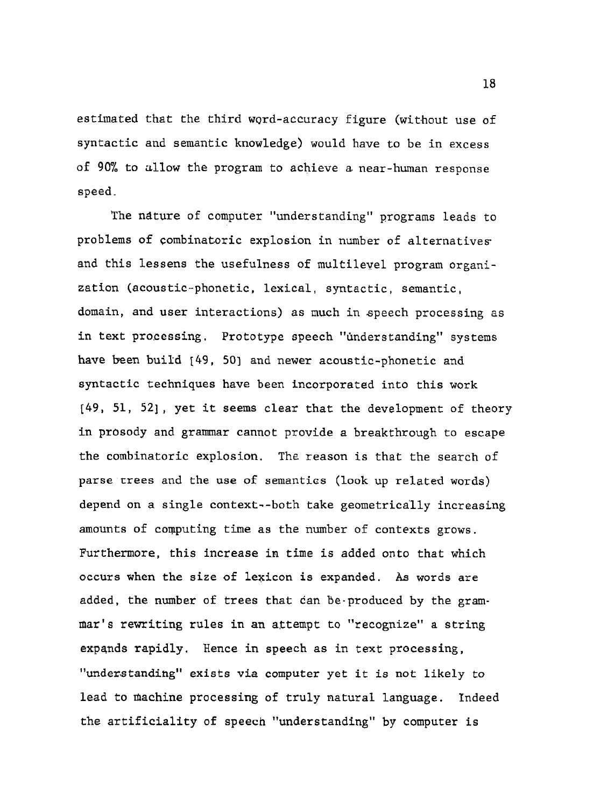estimated that the third word-accuracy figure (without use of syntactic and semantic knowledge) would have to be in excess of 90% to allow the program to achieve a near-human response speed.

The nature of computer "understanding" programs leads to problems of combinatoric explosion in number of alternatives and this lessens the usefulness of multilevel program organization (acoustic-phonetic, lexical, syntactic, semantic, domain, and user interactions) as much in speech processing as in text processing. Prototype speech "understanding" systems have been build  $[49, 50]$  and newer acoustic-phonetic and syntactic techniques have been incorporated into this work *[49,* 51, 521, yet it seems clear that the development of theory in prosody and grammar cannot provide a breakthrough to escape the combinatoric explosion. The reason is that the search of parse **rrees** and the use of semantics (look up related words) depend on a single context--both take geometrically increasing amounts of computing time as the number of contexts grows. Furthermore, this increase in time is added onto that which occurs when the size of lexicon is expanded. **ks** words are added, the number of trees that can Be-produced by the grammar's rewriting rules in an attempt to "recognize" a string expands rapidly. Hence in speech as in text processing, "understanding" exists via computer yet it is not likely to lead to machine processing of truly natural language. Indeed the artificiality of speech "understanding" by computer is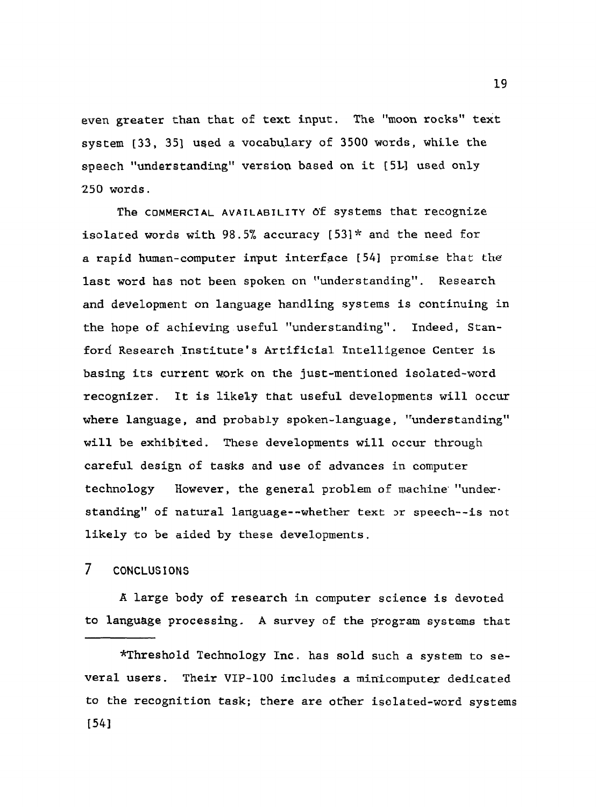even greater than that of text input. The "moon rocks" text system **[33, 351** used a vocabulary of 3500 words, while the speech "understanding" version based on it **[5M** used only 250 words.

The **COMMERCIAL AVAILABILITY** of systems that recognize isolated words with 98.5% accuracy [531\* and the need for a rapid human-computer input interface [54] promise that the last word has not been spoken on "understanding". Research and development on language handling systems is continuing in the hope of achieving useful "understanding". Indeed, Stanford Research Institute's Artificial Intelligence Center is basing its current work on the just-mentioned isolated-word recognizer. It is likely that useful developments will occur where language, and probably spoken-language, "understanding" will be exhibited. These developments will occur through careful design of tasks and use of advances in computer technology However, the general problem of machine' "understanding" of natural language--whether text or speech--is not likely to be aided by these developments.

### 7 **CONCLUS IONS**

**A** large body of research in computer science is devoted to language processing. A survey of the program systems that

\*Threshold Technology Inc. has sold such a system to **se**veral users. Their VIP-100 includes a minicomputer dedicated to the recognition task; there are other isolated-word systems [541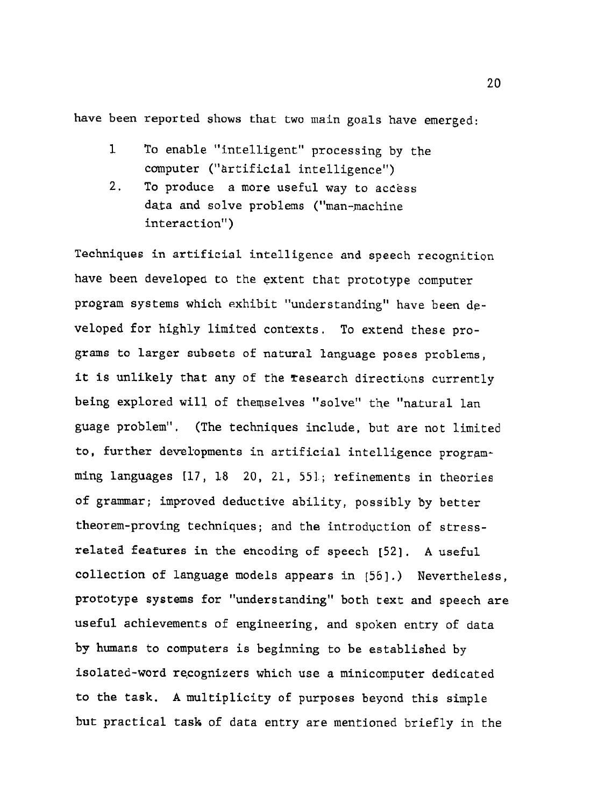have been reported shows that two main goals have emerged:

- **1** To enable "intelligent" processing by the computer ("hrtificial intelligence")
- 2. To produce a more useful way to access data and solve problems ("man-machine interaction")

Techniques in artificial intelligence and speech recognition have been developed to the extent that prototype computer program systems which exhibit "understanding" have been developed for highly limited conrexts. To extend these programs to larger subsets of natural language poses problens, it is unlikely that any of the research directions currently being explored will of themselves "solve" the "natural lan guage problem". (The techniques include, but are not limited to, further developments in artificial intelligence programming languages [17, **18** 20, 21, 551.; refinements in theories of grammar; improved deductive ability, possibly by better theorem-proving techniques; and the introduction of stressrelated **features** in the ehcoding of speech **[52].** A useful collection of language models appears in [56].) Nevertheless, prototype systems for "understanding" both text and speech are useful achievements of engineering, and spoken entry of data by humans to computers is beginning to **be** established **by**  isolated-word recognizers which use a minicomputer dedicated to the task. A multiplicity of purposes beyond this simple but practical task of data entry are mentioned briefly in the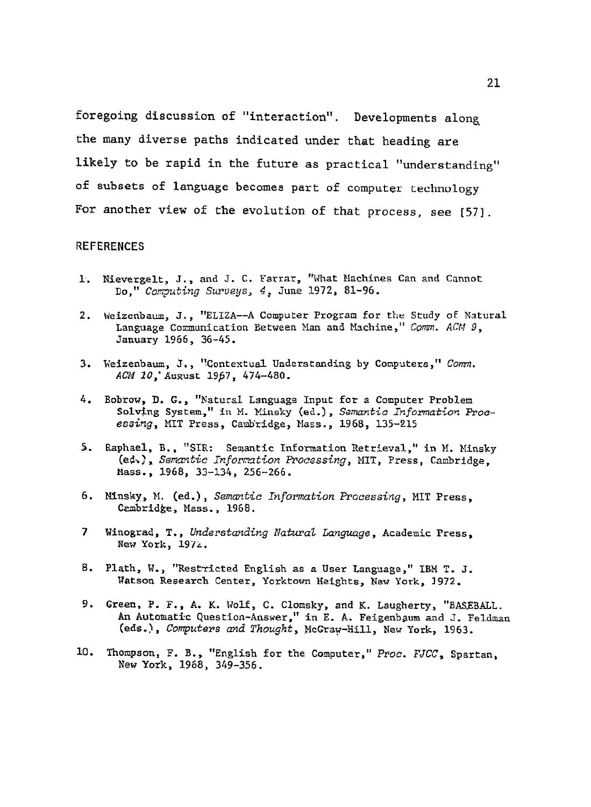foregoing discussion of "interaction". Developments along the many diverse paths indicated under that heading are likely to be rapid in the future as practical "understanding" of subsets of language becomes part of computer technology For another view of the evolution of that process, see [57].

#### **REFERENCES**

- 1. Nievergelt, J., and J. C. Farrar, "What Machines Can and Cannot Do," Computing Surveys, 4, June 1972, 81-96.
- Weizenbaum, J., "ELIZA--A Computer Program for the Study of Natural  $2.$ Language Communication Between Man and Machine," Comm. ACM 9, January 1966, 36-45.
- 3. Weizenbaum, J., "Contextual Understanding by Computers," Comm. ACM 10, August 1967, 474-480.
- 4. Bobrow, D. G., "Natural Language Input for a Computer Problem Solving System," in M. Minsky (ed.), Semantic Information Processing, MIT Press, Cambridge, Mass., 1968, 135-215
- Raphael, B., "SIR: Semantic Information Retrieval," in M. Minsky  $5.$ (ed.), Semantic Information Processing, MIT, Press, Cambridge. Mass., 1968, 33-134, 256-266.
- 6. Minsky, M. (ed.), Semantic Information Processing, MIT Press, Cambridge, Mass., 1968.
- $\mathbf{7}$ Winograd, T., Understanding Natural Language, Academic Press. New York, 1972.
- 8. Plath, W., "Restricted English as a User Language," IBM T. J. Watson Research Center, Yorktown Heights, New York, 1972.
- 9. Green, P. F., A. K. Wolf, C. Clomsky, and K. Laugherty, "BASEBALL. An Automatic Question-Answer," in E. A. Feigenbaum and J. Feldman (eds.), Computers and Thought, McGraw-Hill, New York, 1963.
- 10. Thompson, F. B., "English for the Computer," Proc. FJCC, Spartan, New York, 1968, 349-356.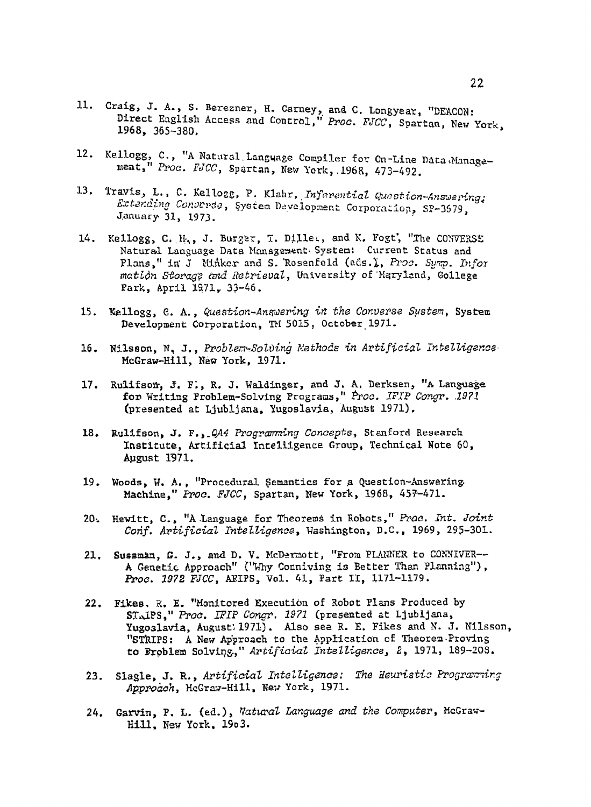- 11. Craig, J. A., S. Berezner, H. Carney, and C. Longyear, "DEACON: Direct English Access and Control," Proc. FJCC, Spartan, New York, 1968, 365-380.
- 12. Kellogg, C., "A Natural Language Compiler for On-Line Data Management," Proc. FJCC, Spartan, New York, 1968, 473-492.
- 13. Travis, L., C. Kellogg, P. Klahr, Inferential Question-Answering: Extending Converse, System Development Corporation, SP-3679, January 31, 1973.
- Kellogg, C. H., J. Burger, T. Diller, and K. Fogt, "The CONVERSE 14. Natural Language Data Management System: Current Status and Plans," in J Minker and S. Rosenfeld (eds.), Proc. Sump. Infor mation Storage and Retrieval, University of Maryland, Gollege Park, April 1971, 33-46.
- 15. Kellogg, C. A., Question-Angwering in the Converse System, System Development Corporation, TH 5015, October 1971.
- Nilsson, N. J., Problem-Solving Methods in Artificial Intelligence 16. McGraw-Hill, New York, 1971.
- Rulifson, J. F., R. J. Waldinger, and J. A. Derksen, "A Language 17. for Writing Problem-Solving Programs," Proc. IFIP Congr. 1971 (presented at Ljubljana, Yugoslavia, August 1971).
- 18. Rullfson, J. F., 044 Programming Concepts, Stanford Research Institute, Artificial Intelligence Group, Technical Note 60, August 1971.
- 19. Woods, W. A., "Procedural Semantics for a Question-Answering. Machine," Proc. FJCC, Spartan, New York, 1968, 457-471.
- 20. Hewitt, C., "A Language for Theorems in Robots," Prac. Int. Joint Conf. Artificial Intelligence, Washington, D.C., 1969, 295-301.
- Sussman, G. J., and D. V. McDermott, "From PLANNER to CONNIVER-- $21.$ A Genetic Approach" ("Why Conniving is Better Than Planning"), Proc. 1972 FJCC, ARIPS, Vol. 41, Part II, 1171-1179.
- Fikes, R. E. "Monitored Execution of Robot Plans Produced by  $22.$ STAIPS," Proc. IFIP Congr. 1971 (presented at Ljubljana, Yugoslavia, August; 1971). Also see R. E. Fikes and N. J. Nilsson, "STRIPS: A New Approach to the Application of Theorem-Proving to Froblem Solving," Artificial Intelligence, 2, 1971, 189-208.
- 23. Slagle, J. R., Artificial Intelligence: The Heuristic Programming Approach, McGraw-Hill, New York, 1971.
- Garvin, P. L. (ed.), Natural Language and the Computer, McGraw- $24.$ Hill, New York, 1953.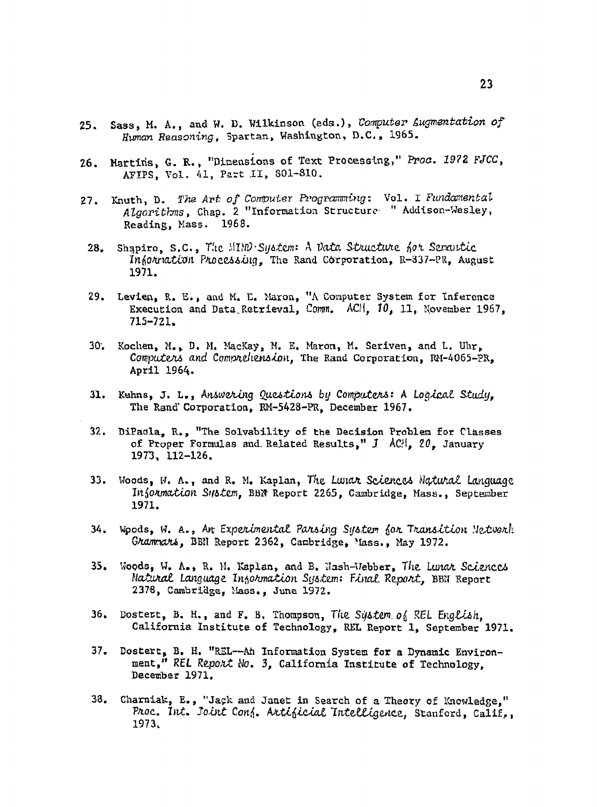- Sass, M. A., and W. D. Wilkinson (eds.), Computer Augmentation of  $25.$ Human Reasoning, Spartan, Washington, D.C., 1965.
- Martins, G. R., "Dimensions of Text Processing," Proc. 1972 FJCC,  $26.$ AFIPS, Vol. 41, Part II, 801-810.
- Knuth, D. The Art of Computer Programming: Vol. I Fundamental  $27.$ Algorithms, Chap. 2 "Information Structure " Addison-Wesley, Reading, Mass. 1968.
- Shapiro, S.C., The MIND System: A Data Structure for Semantic 28. Information Processing. The Rand Corporation, R-337-PR, August 1971.
- 29. Levien, R. E., and M. E. Maron, "A Computer System for Inference Execution and Data Retrieval, Comm. ACH. 10, 11, November 1967,  $715 - 721.$
- Kochen, M., D. M. MacKay, M. E. Maron, M. Seriven, and L. Uhr,  $30^{\circ}$ Computers and Comprehension. The Rand Corporation. RM-4065-PR. April 1964.
- 31. Kuhns, J. L., Answering Questions by Computers: A Logical Study, The Rand Corporation, RM-5428-PR. December 1967.
- DiPacla, R., "The Solvability of the Decision Problem for Classes  $32.$ of Proper Formulas and Related Results," J ACH, 20, January 1973, 112-126.
- 33. Woods, W. A., and R. M. Kaplan, The Lunar Sciences Natural Language Information Sustem, BBN Report 2265, Cambridge, Mass., September 1971.
- Woods, W. A., Ar Experimental Parsing System for Transition Network 34. Grammars, BBN Report 2362, Cambridge, Mass., May 1972.
- 35. Woods, W. A., R. M. Kaplan, and B. Mash-Webber, The Lunar Sciences Natural Language Insormation System: Final Report, BBN Report 2378, Cambridge, Mass., June 1972.
- 36. Dostert, B. H., and F. B. Thompson, The System of REL English. California Institute of Technology, REL Report 1, September 1971.
- 37. Dostert, B. H. "REL--Ah Information System for a Dynamic Environ-<br>ment," REL Report No. 3, California Institute of Technology, December 1971.
- Charniak, E., "Jack and Janet in Search of a Theory of Knowledge," 38. Proc. Int. Joint Conf. Artificial Intelligence, Stanford, Calif., 1973.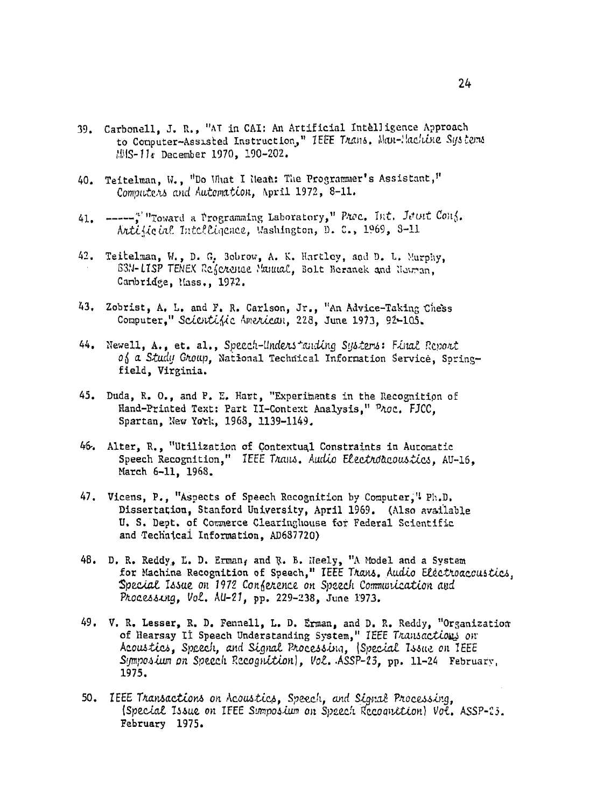- 39. Carbonell. J. R., "AT in CAI: An Artificial Intelligence Approach to Computer-Assisted Instruction," TEEE Trans. Man-Machine Systems MMS-11. December 1970, 190-202.
- 40. Teitelman. W., "Do What I Hean: The Programmer's Assistant," Computers and Automation, April 1972, 8-11.
- ----- ""Toward a Programming Laboratory," Proc. Int. Jout Conf.  $41.$ Artiticial Intelligence, Washington, D. C., 1969, 3-11
- 42. Teitelman, W., D. G. Bobrow, A. K. Hartley, and D. L. Murphy. 63N-LISP TENEX Reservate Manual, Bolt Beranek and Neuman. Cambridge, Mass., 1972.
- 43. Zobrist, A. L. and F. R. Carlson, Jr., "An Advice-Taking Chess Computer." Scientific American, 228, June 1973, 92-105.
- 44. Newell, A., et. al., Speech-Understanding Systems: Final Report of a Study Group, National Technical Information Service, Springfield, Virginia.
- 45. Duda, R. O., and P. E. Hart, "Experiments in the Recognition of Hand-Printed Text: Part II-Context Analysis." Proc. FJCC. Spartan, New York, 1968, 1139-1149.
- 46. Alter, R., "Utilization of Contextual Constraints in Automatic Speech Recognition." IEEE Trans. Audio Electroacoustics. AU-16. March 6-11, 1968.
- 47. Vicens, P., "Aspects of Speech Recognition by Computer," Ph.D. Dissertation, Stanford University, April 1969. (Also available U. S. Dept. of Commerce Clearinghouse for Federal Scientific and Technical Information, AD687720)
- 48. D. R. Reddy, L. D. Erman, and R. B. Heely, "A Model and a System for Machine Recognition of Speech." IEEE Trans. Audio Electroaccustics. Special Issue on 1972 Conference on Speech Communication and Processing, Vol. AU-21, pp. 229-238, June 1973.
- 49. V. R. Lesser, R. D. Fennell, L. D. Erman, and D. R. Reddy, "Organization of Hearsay II Speech Understanding System," IEEE Transactions on Acoustics, Speech, and Signal Processing, (Special Issue on IEEE Symposium on Speech Recognition), Vol. ASSP-23, pp. 11-24 February, 1975.
- 50. IEEE Transactions on Acoustics, Speech, and Signal Processing, (Special Issue on IFEE Sumposium on Speech Recognition) Vol. ASSP-23. February 1975.